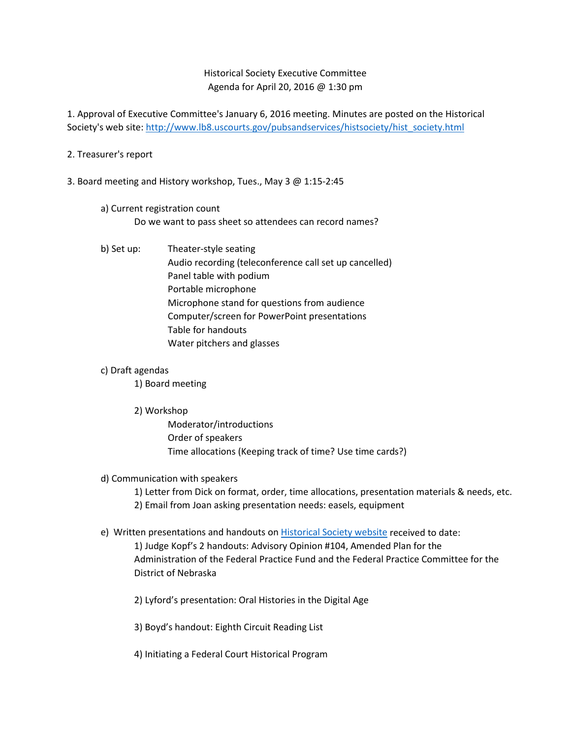## Historical Society Executive Committee Agenda for April 20, 2016 @ 1:30 pm

1. Approval of Executive Committee's January 6, 2016 meeting. Minutes are posted on the Historical Society's web site[: http://www.lb8.uscourts.gov/pubsandservices/histsociety/hist\\_society.html](http://www.lb8.uscourts.gov/pubsandservices/histsociety/hist_society.html)

### 2. Treasurer's report

3. Board meeting and History workshop, Tues., May 3 @ 1:15-2:45

## a) Current registration count Do we want to pass sheet so attendees can record names?

b) Set up: Theater-style seating Audio recording (teleconference call set up cancelled) Panel table with podium Portable microphone Microphone stand for questions from audience Computer/screen for PowerPoint presentations Table for handouts Water pitchers and glasses

#### c) Draft agendas

1) Board meeting

2) Workshop

Moderator/introductions Order of speakers Time allocations (Keeping track of time? Use time cards?)

#### d) Communication with speakers

1) Letter from Dick on format, order, time allocations, presentation materials & needs, etc.

2) Email from Joan asking presentation needs: easels, equipment

e) Written presentations and handouts on [Historical Society website](http://www.lb8.uscourts.gov/pubsandservices/histsociety/workshop.html) received to date:

1) Judge Kopf's 2 handouts: Advisory Opinion #104, Amended Plan for the Administration of the Federal Practice Fund and the Federal Practice Committee for the District of Nebraska

2) Lyford's presentation: Oral Histories in the Digital Age

3) Boyd's handout: Eighth Circuit Reading List

4) Initiating a Federal Court Historical Program